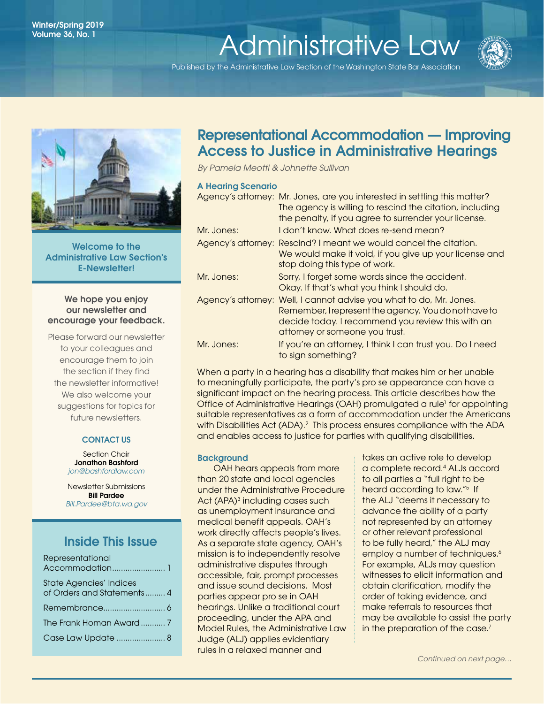## Administrative Law Winter/Spring 2019 <sup>1</sup> Winter/Spring 2019 Volume 36, No. 1<br>[Administrative Law](http://www.wsba.org/lawyers/groups/administrativelaw/adminlaw.htm)

Published by the Administrative Law Section of the Washington State Bar Association





Welcome to the Administrative Law Section's E-Newsletter!

#### We hope you enjoy our newsletter and encourage your feedback.

Please forward our newsletter to your colleagues and encourage them to join the section if they find the newsletter informative! We also welcome your suggestions for topics for future newsletters.

### CONTACT US

Section Chair Jonathon Bashford *[jon@bashfordl](https://www.mywsba.org/PersonifyEbusiness/LegalDirectory/LegalProfile.aspx?Usr_ID=39299)aw.com*

Newsletter Submissions Bill Pardee *[Bill.Pardee@bta.wa.gov](mailto:Bill.Pardee%40bta.wa.gov?subject=Administrative%20Law%20Section%20Newsletter)*

## Inside This Issue

| Representational               |
|--------------------------------|
|                                |
| <b>State Agencies' Indices</b> |
| of Orders and Statements 4     |
|                                |
|                                |
| Case Law Update  8             |

## Representational Accommodation — Improving Access to Justice in Administrative Hearings

*By Pamela Meotti & Johnette Sullivan* 

#### A Hearing Scenario

|            | Agency's attorney: Mr. Jones, are you interested in settling this matter?<br>The agency is willing to rescind the citation, including<br>the penalty, if you agree to surrender your license.                      |
|------------|--------------------------------------------------------------------------------------------------------------------------------------------------------------------------------------------------------------------|
| Mr. Jones: | I don't know. What does re-send mean?                                                                                                                                                                              |
|            | Agency's attorney: Rescind? I meant we would cancel the citation.<br>We would make it void, if you give up your license and<br>stop doing this type of work.                                                       |
| Mr. Jones: | Sorry, I forget some words since the accident.<br>Okay. If that's what you think I should do.                                                                                                                      |
|            | Agency's attorney: Well, I cannot advise you what to do, Mr. Jones.<br>Remember, I represent the agency. You do not have to<br>decide today. I recommend you review this with an<br>attorney or someone you trust. |
| Mr. Jones: | If you're an attorney, I think I can trust you. Do I need<br>to sign something?                                                                                                                                    |

When a party in a hearing has a disability that makes him or her unable to meaningfully participate, the party's pro se appearance can have a significant impact on the hearing process. This article describes how the Office of Administrative Hearings (OAH) promulgated a rule<sup>1</sup> for appointing suitable representatives as a form of accommodation under the Americans with Disabilities Act (ADA).<sup>2</sup> This process ensures compliance with the ADA and enables access to justice for parties with qualifying disabilities.

#### **Background**

OAH hears appeals from more than 20 state and local agencies under the Administrative Procedure Act (APA)<sup>3</sup> including cases such as unemployment insurance and medical benefit appeals. OAH's work directly affects people's lives. As a separate state agency, OAH's mission is to independently resolve administrative disputes through accessible, fair, prompt processes and issue sound decisions. Most parties appear pro se in OAH hearings. Unlike a traditional court proceeding, under the APA and Model Rules, the Administrative Law Judge (ALJ) applies evidentiary rules in a relaxed manner and

takes an active role to develop a complete record.4 ALJs accord to all parties a "full right to be heard according to law."<sup>5</sup> If the ALJ "deems it necessary to advance the ability of a party not represented by an attorney or other relevant professional to be fully heard," the ALJ may employ a number of techniques.<sup>6</sup> For example, ALJs may question witnesses to elicit information and obtain clarification, modify the order of taking evidence, and make referrals to resources that may be available to assist the party in the preparation of the case.<sup>7</sup>

*Continued on next page…*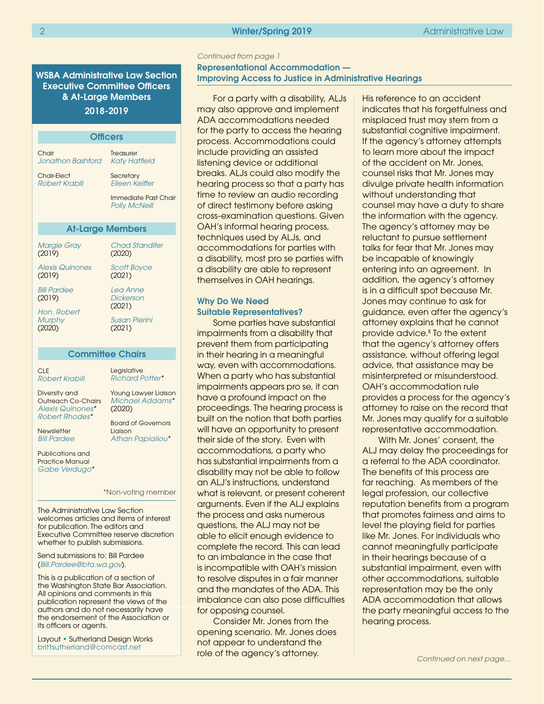#### 2 Nietz Spring 2019 – Administrative Law Minter/Spring 2019 – Administrative Law

WSBA Administrative Law Section Executive Committee Officers & At-Large Members 2018-2019

| <b>Officers</b>                        |                                              |  |  |
|----------------------------------------|----------------------------------------------|--|--|
|                                        |                                              |  |  |
| Chair<br>Jonathon Bashford             | Treasurer<br>Katy Hatfield                   |  |  |
| <b>Chair-Elect</b><br>Robert Krabill   | Secretary<br>Eileen Keiffer                  |  |  |
|                                        | Immediate Past Chair<br><b>Polly McNeill</b> |  |  |
| <b>At-Large Members</b>                |                                              |  |  |
| Margie Gray<br>(2019)                  | <b>Chad Standifer</b><br>(2020)              |  |  |
| Alexis Quinones<br>(2019)              | <b>Scott Boyce</b><br>(2021)                 |  |  |
| <b>Rill Pardee</b><br>(2019)           | Lea Anne<br>Dickerson<br>(2021)              |  |  |
| Hon, Robert<br><b>Murphy</b><br>(2020) | <b>Susan Pierini</b><br>(2021)               |  |  |

#### Committee Chairs

| <b>CLE</b>                                           | Legislative                 |
|------------------------------------------------------|-----------------------------|
| Robert Krabill                                       | <b>Richard Potter*</b>      |
| Diversity and                                        | <b>Young Lawyer Liaison</b> |
| <b>Outreach Co-Chairs</b>                            | Michael Addams*             |
| Alexis Quinones*                                     | (2020)                      |
| Robert Rhodes*                                       | <b>Board of Governors</b>   |
| Newsletter                                           | Liaison                     |
| <b>Bill Pardee</b>                                   | Athan Papialiou*            |
| Publications and<br>Practice Manual<br>Gabe Verdugo* |                             |
|                                                      | *Non-votina member          |

The Administrative Law Section welcomes articles and items of interest for publication. The editors and Executive Committee reserve discretion whether to publish submissions.

Send submissions to: Bill Pardee (*[Bill.Pardee@bta.wa.gov](mailto:Bill.Pardee%40bta.wa.gov?subject=Administrative%20Law%20Section%20Newsletter)*).

This is a publication of a section of the Washington State Bar Association. All opinions and comments in this publication represent the views of the authors and do not necessarily have the endorsement of the Association or its officers or agents.

Layout • Sutherland Design Works [brittsutherland@comcast.net](mailto:brittsutherland%40comcast.net?subject=WSBA)

#### Representational Accommodation — Improving Access to Justice in Administrative Hearings *Continued from page 1*

For a party with a disability, ALJs may also approve and implement ADA accommodations needed for the party to access the hearing process. Accommodations could include providing an assisted listening device or additional breaks. ALJs could also modify the hearing process so that a party has time to review an audio recording of direct testimony before asking cross-examination questions. Given OAH's informal hearing process, techniques used by ALJs, and accommodations for parties with a disability, most pro se parties with a disability are able to represent themselves in OAH hearings.

#### Why Do We Need Suitable Representatives?

Some parties have substantial impairments from a disability that prevent them from participating in their hearing in a meaningful way, even with accommodations. When a party who has substantial impairments appears pro se, it can have a profound impact on the proceedings. The hearing process is built on the notion that both parties will have an opportunity to present their side of the story. Even with accommodations, a party who has substantial impairments from a disability may not be able to follow an ALJ's instructions, understand what is relevant, or present coherent arguments. Even if the ALJ explains the process and asks numerous questions, the ALJ may not be able to elicit enough evidence to complete the record. This can lead to an imbalance in the case that is incompatible with OAH's mission to resolve disputes in a fair manner and the mandates of the ADA. This imbalance can also pose difficulties for opposing counsel.

Consider Mr. Jones from the opening scenario. Mr. Jones does not appear to understand the role of the agency's attorney.

His reference to an accident indicates that his forgetfulness and misplaced trust may stem from a substantial cognitive impairment. If the agency's attorney attempts to learn more about the impact of the accident on Mr. Jones, counsel risks that Mr. Jones may divulge private health information without understanding that counsel may have a duty to share the information with the agency. The agency's attorney may be reluctant to pursue settlement talks for fear that Mr. Jones may be incapable of knowingly entering into an agreement. In addition, the agency's attorney is in a difficult spot because Mr. Jones may continue to ask for guidance, even after the agency's attorney explains that he cannot provide advice.<sup>8</sup> To the extent that the agency's attorney offers assistance, without offering legal advice, that assistance may be misinterpreted or misunderstood. OAH's accommodation rule provides a process for the agency's attorney to raise on the record that Mr. Jones may qualify for a suitable representative accommodation.

With Mr. Jones' consent, the ALJ may delay the proceedings for a referral to the ADA coordinator. The benefits of this process are far reaching. As members of the legal profession, our collective reputation benefits from a program that promotes fairness and aims to level the playing field for parties like Mr. Jones. For individuals who cannot meaningfully participate in their hearings because of a substantial impairment, even with other accommodations, suitable representation may be the only ADA accommodation that allows the party meaningful access to the hearing process.

*Continued on next page…*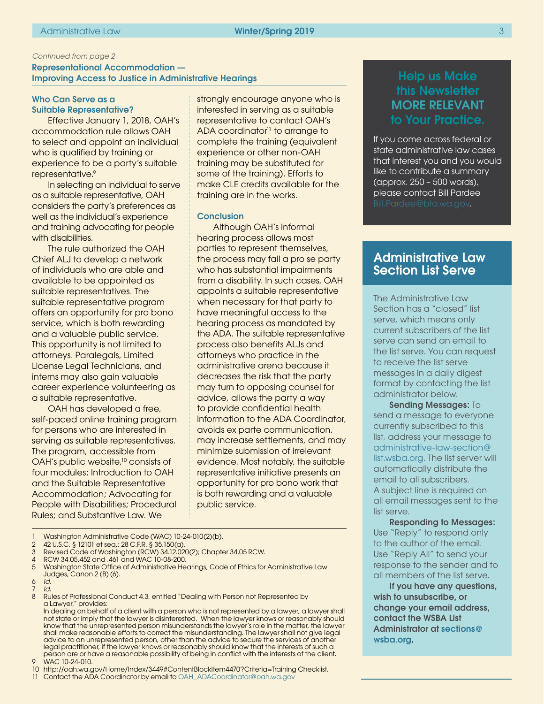#### <span id="page-2-0"></span>Representational Accommodation — Improving Access to Justice in Administrative Hearings

#### Who Can Serve as a Suitable Representative?

Effective January 1, 2018, OAH's accommodation rule allows OAH to select and appoint an individual who is qualified by training or experience to be a party's suitable representative.<sup>9</sup>

In selecting an individual to serve as a suitable representative, OAH considers the party's preferences as well as the individual's experience and training advocating for people with disabilities.

The rule authorized the OAH Chief ALJ to develop a network of individuals who are able and available to be appointed as suitable representatives. The suitable representative program offers an opportunity for pro bono service, which is both rewarding and a valuable public service. This opportunity is not limited to attorneys. Paralegals, Limited License Legal Technicians, and interns may also gain valuable career experience volunteering as a suitable representative.

OAH has developed a free, self-paced online training program for persons who are interested in serving as suitable representatives. The program, accessible from OAH's public website,<sup>10</sup> consists of four modules: Introduction to OAH and the Suitable Representative Accommodation; Advocating for People with Disabilities; Procedural Rules; and Substantive Law. We

strongly encourage anyone who is interested in serving as a suitable representative to contact OAH's ADA coordinator<sup>11</sup> to arrange to complete the training (equivalent experience or other non-OAH training may be substituted for some of the training). Efforts to make CLE credits available for the training are in the works.

#### **Conclusion**

Although OAH's informal hearing process allows most parties to represent themselves, the process may fail a pro se party who has substantial impairments from a disability. In such cases, OAH appoints a suitable representative when necessary for that party to have meaningful access to the hearing process as mandated by the ADA. The suitable representative process also benefits ALJs and attorneys who practice in the administrative arena because it decreases the risk that the party may turn to opposing counsel for advice, allows the party a way to provide confidential health information to the ADA Coordinator, avoids ex parte communication, may increase settlements, and may minimize submission of irrelevant evidence. Most notably, the suitable representative initiative presents an opportunity for pro bono work that is both rewarding and a valuable public service.

Washington Administrative Code (WAC) 10-24-010(2)(b).

9 WAC 10-24-010.

## Help us Make this Newsletter MORE RELEVANT to Your Practice.

If you come across federal or state administrative law cases that interest you and you would like to contribute a summary (approx. 250 – 500 words), please contact Bill Pardee

### Administrative Law Section List Serve

The Administrative Law Section has a "closed" list serve, which means only current subscribers of the list serve can send an email to the list serve. You can request to receive the list serve messages in a daily digest format by contacting the list administrator below.

Sending Messages: To send a message to everyone currently subscribed to this list, address your message to [administrative-law-section@](administrative-law-section@list.wsba.org) [list.wsba.org.](administrative-law-section@list.wsba.org) The list server will automatically distribute the email to all subscribers. A subject line is required on all email messages sent to the list serve.

Responding to Messages: Use "Reply" to respond only to the author of the email. Use "Reply All" to send your response to the sender and to all members of the list serve.

If you have any questions, wish to unsubscribe, or change your email address, contact the WSBA List Administrator at [sections@](sections@wsba.org) [wsba.org](sections@wsba.org).

<sup>2</sup> 42 U.S.C. § 12101 et seq.; 28 C.F.R. § 35.150(a).

<sup>3</sup> Revised Code of Washington (RCW) 34.12.020(2); Chapter 34.05 RCW.

<sup>4</sup> RCW 34.05.452 and .461 and WAC 10-08-200.

<sup>5</sup> Washington State Office of Administrative Hearings, Code of Ethics for Administrative Law Judges, Canon 2 (B) (6).

<sup>6</sup> *Id.*

<sup>7</sup> *Id.* Rules of Professional Conduct 4.3, entitled "Dealing with Person not Represented by a Lawyer," provides:

In dealing on behalf of a client with a person who is not represented by a lawyer, a lawyer shall not state or imply that the lawyer is disinterested. When the lawyer knows or reasonably should know that the unrepresented person misunderstands the lawyer's role in the matter, the lawyer shall make reasonable efforts to correct the misunderstanding. The lawyer shall not give legal advice to an unrepresented person, other than the advice to secure the services of another legal practitioner, if the lawyer knows or reasonably should know that the interests of such a person are or have a reasonable possibility of being in conflict with the interests of the client.

<sup>10</sup> http://oah.wa.gov/Home/Index/3449#ContentBlockItem4470?Criteria=Training Checklist.

<sup>11</sup> Contact the ADA Coordinator by email to [OAH\\_ADACoordinator@oah.wa.gov](mailto:OAH_ADACoordinator%40oah.wa.gov?subject=)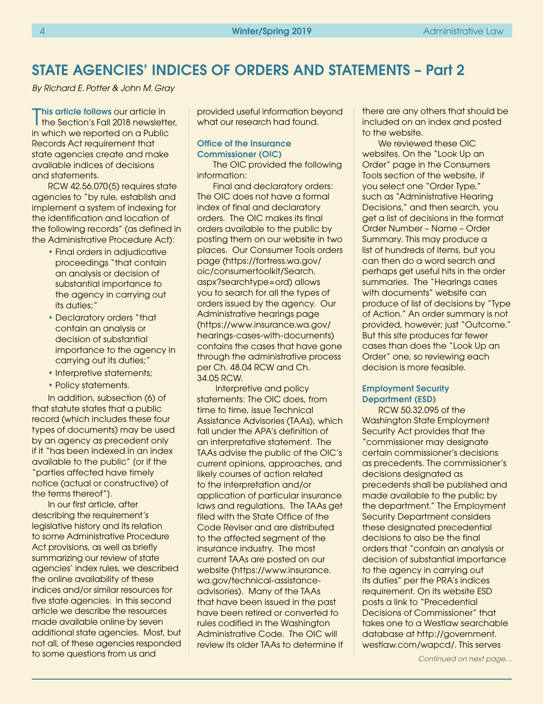## STATE AGENCIES' INDICES OF ORDERS AND STATEMENTS – Part 2

*By Richard E. Potter & John M. Gray*

This article follows our article in<br>The Section's Fall 2018 newsletter, his article follows our article in in which we reported on a Public Records Act requirement that state agencies create and make available indices of decisions and statements.

RCW 42.56.070(5) requires state agencies to "by rule, establish and implement a system of indexing for the identification and location of the following records" (as defined in the Administrative Procedure Act):

- Final orders in adjudicative proceedings "that contain an analysis or decision of substantial importance to the agency in carrying out its duties;"
- Declaratory orders "that contain an analysis or decision of substantial importance to the agency in carrying out its duties;"
- Interpretive statements;
- Policy statements.

In addition, subsection (6) of that statute states that a public record (which includes these four types of documents) may be used by an agency as precedent only if it "has been indexed in an index available to the public" [or if the "parties affected have timely notice (actual or constructive) of the terms thereof"].

In our first article, after describing the requirement's legislative history and its relation to some Administrative Procedure Act provisions, as well as briefly summarizing our review of state agencies' index rules, we described the online availability of these indices and/or similar resources for five state agencies. In this second article we describe the resources made available online by seven additional state agencies. Most, but not all, of these agencies responded to some questions from us and

provided useful information beyond what our research had found.

#### Office of the Insurance Commissioner (OIC)

The OIC provided the following information:

Final and declaratory orders: The OIC does not have a formal index of final and declaratory orders. The OIC makes its final orders available to the public by posting them on our website in two places. Our Consumer Tools orders page (https://fortress.wa.gov/ oic/consumertoolkit/Search. aspx?searchtype=ord) allows you to search for all the types of orders issued by the agency. Our Administrative hearings page (https://www.insurance.wa.gov/ hearings-cases-with-documents) contains the cases that have gone through the administrative process per Ch. 48.04 RCW and Ch. 34.05 RCW.

 Interpretive and policy statements: The OIC does, from time to time, issue Technical Assistance Advisories (TAAs), which fall under the APA's definition of an interpretative statement. The TAAs advise the public of the OIC's current opinions, approaches, and likely courses of action related to the interpretation and/or application of particular insurance laws and regulations. The TAAs get filed with the State Office of the Code Reviser and are distributed to the affected segment of the insurance industry. The most current TAAs are posted on our website (https://www.insurance. wa.gov/technical-assistanceadvisories). Many of the TAAs that have been issued in the past have been retired or converted to rules codified in the Washington Administrative Code. The OIC will review its older TAAs to determine if there are any others that should be included on an index and posted to the website.

We reviewed these OIC websites. On the "Look Up an Order" page in the Consumers Tools section of the website, if you select one "Order Type," such as "Administrative Hearing Decisions," and then search, you get a list of decisions in the format Order Number – Name – Order Summary. This may produce a list of hundreds of items, but you can then do a word search and perhaps get useful hits in the order summaries. The "Hearings cases with documents" website can produce of list of decisions by "Type of Action." An order summary is not provided, however; just "Outcome." But this site produces far fewer cases than does the "Look Up an Order" one, so reviewing each decision is more feasible.

#### Employment Security Department (ESD)

RCW 50.32.095 of the Washington State Employment Security Act provides that the "commissioner may designate certain commissioner's decisions as precedents. The commissioner's decisions designated as precedents shall be published and made available to the public by the department." The Employment Security Department considers these designated precedential decisions to also be the final orders that "contain an analysis or decision of substantial importance to the agency in carrying out its duties" per the PRA's indices requirement. On its website ESD posts a link to "Precedential Decisions of Commissioner" that takes one to a Westlaw searchable database at http://government. westlaw.com/wapcd/. This serves

*Continued on next page…*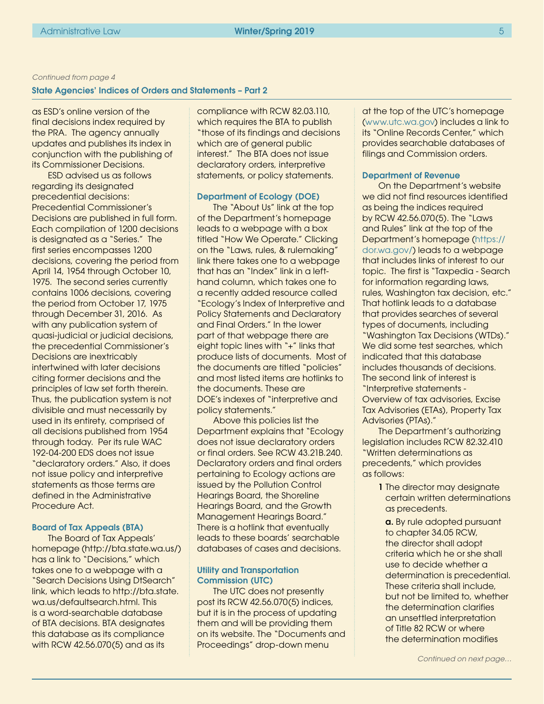#### <span id="page-4-0"></span>State Agencies' Indices of Orders and Statements – Part 2

as ESD's online version of the final decisions index required by the PRA. The agency annually updates and publishes its index in conjunction with the publishing of its Commissioner Decisions.

ESD advised us as follows regarding its designated precedential decisions: Precedential Commissioner's Decisions are published in full form. Each compilation of 1200 decisions is designated as a "Series." The first series encompasses 1200 decisions, covering the period from April 14, 1954 through October 10, 1975. The second series currently contains 1006 decisions, covering the period from October 17, 1975 through December 31, 2016. As with any publication system of quasi-judicial or judicial decisions, the precedential Commissioner's Decisions are inextricably intertwined with later decisions citing former decisions and the principles of law set forth therein. Thus, the publication system is not divisible and must necessarily by used in its entirety, comprised of all decisions published from 1954 through today. Per its rule WAC 192-04-200 EDS does not issue "declaratory orders." Also, it does not issue policy and interpretive statements as those terms are defined in the Administrative Procedure Act.

#### Board of Tax Appeals (BTA)

The Board of Tax Appeals' homepage (http://bta.state.wa.us/) has a link to "Decisions," which takes one to a webpage with a "Search Decisions Using DtSearch" link, which leads to http://bta.state. wa.us/defaultsearch.html. This is a word-searchable database of BTA decisions. BTA designates this database as its compliance with RCW 42.56.070(5) and as its

compliance with RCW 82.03.110, which requires the BTA to publish "those of its findings and decisions which are of general public interest." The BTA does not issue declaratory orders, interpretive statements, or policy statements.

#### Department of Ecology (DOE)

The "About Us" link at the top of the Department's homepage leads to a webpage with a box titled "How We Operate." Clicking on the "Laws, rules, & rulemaking" link there takes one to a webpage that has an "Index" link in a lefthand column, which takes one to a recently added resource called "Ecology's Index of Interpretive and Policy Statements and Declaratory and Final Orders." In the lower part of that webpage there are eight topic lines with "+" links that produce lists of documents. Most of the documents are titled "policies" and most listed items are hotlinks to the documents. These are DOE's indexes of "interpretive and policy statements."

Above this policies list the Department explains that "Ecology does not issue declaratory orders or final orders. See RCW 43.21B.240. Declaratory orders and final orders pertaining to Ecology actions are issued by the Pollution Control Hearings Board, the Shoreline Hearings Board, and the Growth Management Hearings Board." There is a hotlink that eventually leads to these boards' searchable databases of cases and decisions.

#### Utility and Transportation Commission (UTC)

The UTC does not presently post its RCW 42.56.070(5) indices, but it is in the process of updating them and will be providing them on its website. The "Documents and Proceedings" drop-down menu

at the top of the UTC's homepage [\(www.utc.wa.gov](http://www.utc.wa.gov)) includes a link to its "Online Records Center," which provides searchable databases of filings and Commission orders.

#### Department of Revenue

On the Department's website we did not find resources identified as being the indices required by RCW 42.56.070(5). The "Laws and Rules" link at the top of the Department's homepage ([https://](https://dor.wa.gov/) [dor.wa.gov/\)](https://dor.wa.gov/) leads to a webpage that includes links of interest to our topic. The first is "Taxpedia - Search for information regarding laws, rules, Washington tax decision, etc." That hotlink leads to a database that provides searches of several types of documents, including "Washington Tax Decisions (WTDs)." We did some test searches, which indicated that this database includes thousands of decisions. The second link of interest is "Interpretive statements - Overview of tax advisories, Excise Tax Advisories (ETAs), Property Tax Advisories (PTAs)."

The Department's authorizing legislation includes RCW 82.32.410 "Written determinations as precedents," which provides as follows:

> 1 The director may designate certain written determinations as precedents.

a. By rule adopted pursuant to chapter 34.05 RCW, the director shall adopt criteria which he or she shall use to decide whether a determination is precedential. These criteria shall include, but not be limited to, whether the determination clarifies an unsettled interpretation of Title 82 RCW or where the determination modifies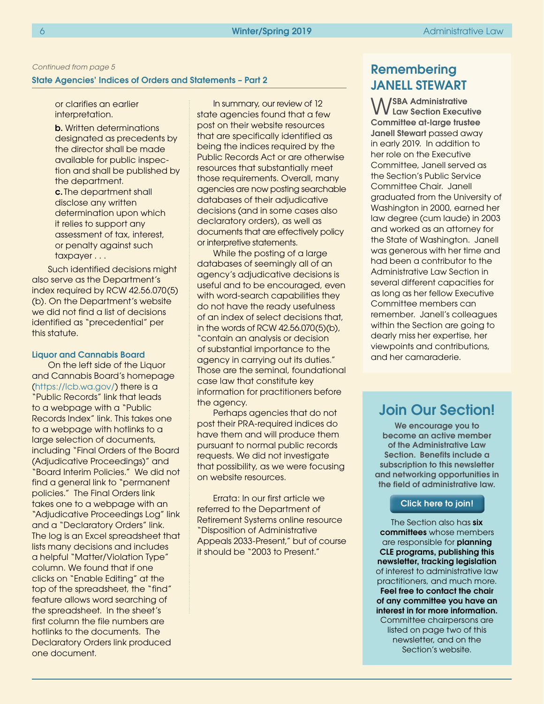#### <span id="page-5-0"></span>State Agencies' Indices of Orders and Statements – Part 2

or clarifies an earlier interpretation.

**b.** Written determinations designated as precedents by the director shall be made available for public inspection and shall be published by the department. c. The department shall

disclose any written determination upon which it relies to support any assessment of tax, interest, or penalty against such taxpayer . . .

Such identified decisions might also serve as the Department's index required by RCW 42.56.070(5) (b). On the Department's website we did not find a list of decisions identified as "precedential" per this statute.

#### Liquor and Cannabis Board

On the left side of the Liquor and Cannabis Board's homepage (<https://lcb.wa.gov/>) there is a "Public Records" link that leads to a webpage with a "Public Records Index" link. This takes one to a webpage with hotlinks to a large selection of documents, including "Final Orders of the Board (Adjudicative Proceedings)" and "Board Interim Policies." We did not find a general link to "permanent policies." The Final Orders link takes one to a webpage with an "Adjudicative Proceedings Log" link and a "Declaratory Orders" link. The log is an Excel spreadsheet that lists many decisions and includes a helpful "Matter/Violation Type" column. We found that if one clicks on "Enable Editing" at the top of the spreadsheet, the "find" feature allows word searching of the spreadsheet. In the sheet's first column the file numbers are hotlinks to the documents. The Declaratory Orders link produced one document.

In summary, our review of 12 state agencies found that a few post on their website resources that are specifically identified as being the indices required by the Public Records Act or are otherwise resources that substantially meet those requirements. Overall, many agencies are now posting searchable databases of their adjudicative decisions (and in some cases also declaratory orders), as well as documents that are effectively policy or interpretive statements.

While the posting of a large databases of seemingly all of an agency's adjudicative decisions is useful and to be encouraged, even with word-search capabilities they do not have the ready usefulness of an index of select decisions that, in the words of RCW 42.56.070(5)(b), "contain an analysis or decision of substantial importance to the agency in carrying out its duties." Those are the seminal, foundational case law that constitute key information for practitioners before the agency.

Perhaps agencies that do not post their PRA-required indices do have them and will produce them pursuant to normal public records requests. We did not investigate that possibility, as we were focusing on website resources.

Errata: In our first article we referred to the Department of Retirement Systems online resource "Disposition of Administrative Appeals 2033-Present," but of course it should be "2003 to Present."

## Remembering JANELL STEWART

WSBA Administrative Law Section Executive Committee at-large trustee Janell Stewart passed away in early 2019. In addition to her role on the Executive Committee, Janell served as the Section's Public Service Committee Chair. Janell graduated from the University of Washington in 2000, earned her law degree (cum laude) in 2003 and worked as an attorney for the State of Washington. Janell was generous with her time and had been a contributor to the Administrative Law Section in several different capacities for as long as her fellow Executive Committee members can remember. Janell's colleagues within the Section are going to dearly miss her expertise, her viewpoints and contributions, and her camaraderie.

## Join Our Section!

We encourage you to become an active member of the Administrative Law Section. Benefits include a subscription to this newsletter and networking opportunities in the field of administrative law.

#### Click [here](https://www.mywsba.org/PersonifyEbusiness/CLEStore/Administrative-Law-Section/ProductDetail/1) to join!

The Section also has six committees whose members are responsible for planning CLE programs, publishing this newsletter, tracking legislation of interest to administrative law practitioners, and much more. Feel free to contact the chair of any committee you have an interest in for more information. Committee chairpersons are listed on page two of this newsletter, and on the Section's website.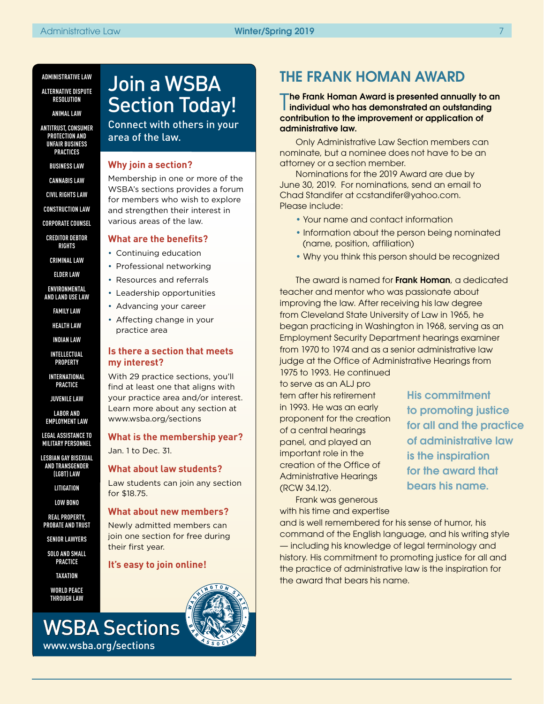#### **ADMINISTRATIVE LAW**

**ALTERNATIVE DISPUTE RESOLUTION**

**ANIMAL LAW**

**ANTITRUST, CONSUMER PROTECTION AND UNFAIR BUSINESS PRACTICES**

**BUSINESS LAW**

**CANNABIS LAW**

**CIVIL RIGHTS LAW**

**CONSTRUCTION LAW**

**CORPORATE COUNSEL**

**CREDITOR DEBTOR RIGHTS**

**CRIMINAL LAW**

**ELDER LAW**

**ENVIRONMENTAL AND LAND USE LAW**

**FAMILY LAW**

**HEALTH LAW**

**INDIAN LAW**

**INTELLECTUAL PROPERTY**

**INTERNATIONAL PRACTICE**

**JUVENILE LAW**

**LABOR AND EMPLOYMENT LAW**

**LEGAL ASSISTANCE TO MILITARY PERSONNEL**

**LESBIAN GAY BISEXUAL AND TRANSGENDER (LGBT) LAW**

**LITIGATION**

**LOW BONO**

**REAL PROPERTY, PROBATE AND TRUST**

**SENIOR LAWYERS**

**SOLO AND SMALL PRACTICE**

**TAXATION**

**WORLD PEACE THROUGH LAW** 

www.wsba.org/sections

# Join a WSBA Section Today!

Connect with others in your area of the law.

#### **Why join a section?**

Membership in one or more of the WSBA's sections provides a forum for members who wish to explore and strengthen their interest in various areas of the law.

#### **What are the benefits?**

- Continuing education
- Professional networking
- Resources and referrals
- Leadership opportunities
- Advancing your career
	- Affecting change in your practice area

#### **Is there a section that meets my interest?**

With 29 practice sections, you'll find at least one that aligns with your practice area and/or interest. Learn more about any section at www.wsba.org/sections

**What is the membership year?** Jan. 1 to Dec. 31.

**What about law students?**

Law students can join any section for \$18.75.

#### **What about new members?**

Newly admitted members can join one section for free during their first year.

### **It's easy to join online!**



## THE FRANK HOMAN AWARD

The Frank Homan Award is presented annually to an<br>Individual who has demonstrated an outstanding I individual who has demonstrated an outstanding contribution to the improvement or application of administrative law.

Only Administrative Law Section members can nominate, but a nominee does not have to be an attorney or a section member.

Nominations for the 2019 Award are due by June 30, 2019. For nominations, send an email to Chad Standifer at ccstandifer@yahoo.com. Please include:

- Your name and contact information
- Information about the person being nominated (name, position, affiliation)
- Why you think this person should be recognized

The award is named for **Frank Homan**, a dedicated teacher and mentor who was passionate about improving the law. After receiving his law degree from Cleveland State University of Law in 1965, he began practicing in Washington in 1968, serving as an Employment Security Department hearings examiner from 1970 to 1974 and as a senior administrative law judge at the Office of Administrative Hearings from

1975 to 1993. He continued to serve as an ALJ pro tem after his retirement in 1993. He was an early proponent for the creation of a central hearings panel, and played an important role in the creation of the Office of Administrative Hearings (RCW 34.12).

for all and the practice for the award that bears his name.

Frank was generous with his time and expertise

and is well remembered for his sense of humor, his command of the English language, and his writing style — including his knowledge of legal terminology and history. His commitment to promoting justice for all and the practice of administrative law is the inspiration for the award that bears his name.

His commitment to promoting justice of administrative law is the inspiration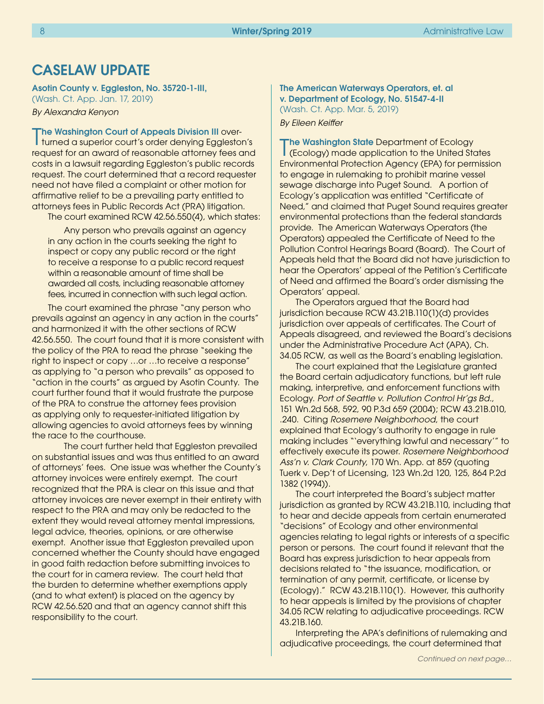## CASELAW UPDATE

#### Asotin County v. Eggleston, No. 35720-1-III,

(Wash. Ct. App. Jan. 17, 2019) *By Alexandra Kenyon*

**The Washington Court of Appeals Division III over-**

The Washington Court of Appeals Division III over-<br>The Mashington Court's order denying Eggleston's request for an award of reasonable attorney fees and costs in a lawsuit regarding Eggleston's public records request. The court determined that a record requester need not have filed a complaint or other motion for affirmative relief to be a prevailing party entitled to attorneys fees in Public Records Act (PRA) litigation. The court examined RCW 42.56.550(4), which states:

Any person who prevails against an agency in any action in the courts seeking the right to inspect or copy any public record or the right to receive a response to a public record request within a reasonable amount of time shall be awarded all costs, including reasonable attorney fees, incurred in connection with such legal action.

The court examined the phrase "any person who prevails against an agency in any action in the courts" and harmonized it with the other sections of RCW 42.56.550. The court found that it is more consistent with the policy of the PRA to read the phrase "seeking the right to inspect or copy …or …to receive a response" as applying to "a person who prevails" as opposed to "action in the courts" as argued by Asotin County. The court further found that it would frustrate the purpose of the PRA to construe the attorney fees provision as applying only to requester-initiated litigation by allowing agencies to avoid attorneys fees by winning the race to the courthouse.

The court further held that Eggleston prevailed on substantial issues and was thus entitled to an award of attorneys' fees. One issue was whether the County's attorney invoices were entirely exempt. The court recognized that the PRA is clear on this issue and that attorney invoices are never exempt in their entirety with respect to the PRA and may only be redacted to the extent they would reveal attorney mental impressions, legal advice, theories, opinions, or are otherwise exempt. Another issue that Eggleston prevailed upon concerned whether the County should have engaged in good faith redaction before submitting invoices to the court for in camera review. The court held that the burden to determine whether exemptions apply (and to what extent) is placed on the agency by RCW 42.56.520 and that an agency cannot shift this responsibility to the court.

#### The American Waterways Operators, et. al v. Department of Ecology, No. 51547-4-II (Wash. Ct. App. Mar. 5, 2019)

*By Eileen Keiffer* 

The Washington State Department of Ecology<br>(Ecology) made application to the United States The Washington State Department of Ecology Environmental Protection Agency (EPA) for permission to engage in rulemaking to prohibit marine vessel sewage discharge into Puget Sound. A portion of Ecology's application was entitled "Certificate of Need," and claimed that Puget Sound requires greater environmental protections than the federal standards provide. The American Waterways Operators (the Operators) appealed the Certificate of Need to the Pollution Control Hearings Board (Board). The Court of Appeals held that the Board did not have jurisdiction to hear the Operators' appeal of the Petition's Certificate of Need and affirmed the Board's order dismissing the Operators' appeal.

The Operators argued that the Board had jurisdiction because RCW 43.21B.110(1)(d) provides jurisdiction over appeals of certificates. The Court of Appeals disagreed, and reviewed the Board's decisions under the Administrative Procedure Act (APA), Ch. 34.05 RCW, as well as the Board's enabling legislation.

The court explained that the Legislature granted the Board certain adjudicatory functions, but left rule making, interpretive, and enforcement functions with Ecology. *Port of Seattle v. Pollution Control Hr'gs Bd.*, 151 Wn.2d 568, 592, 90 P.3d 659 (2004); RCW 43.21B.010, .240. Citing *Rosemere Neighborhood*, the court explained that Ecology's authority to engage in rule making includes "'everything lawful and necessary'" to effectively execute its power. *Rosemere Neighborhood Ass'n v. Clark County*, 170 Wn. App. at 859 (quoting Tuerk v. Dep't of Licensing, 123 Wn.2d 120, 125, 864 P.2d 1382 (1994)).

The court interpreted the Board's subject matter jurisdiction as granted by RCW 43.21B.110, including that to hear and decide appeals from certain enumerated "decisions" of Ecology and other environmental agencies relating to legal rights or interests of a specific person or persons. The court found it relevant that the Board has express jurisdiction to hear appeals from decisions related to "the issuance, modification, or termination of any permit, certificate, or license by [Ecology]." RCW 43.21B.110(1). However, this authority to hear appeals is limited by the provisions of chapter 34.05 RCW relating to adjudicative proceedings. RCW 43.21B.160.

Interpreting the APA's definitions of rulemaking and adjudicative proceedings, the court determined that